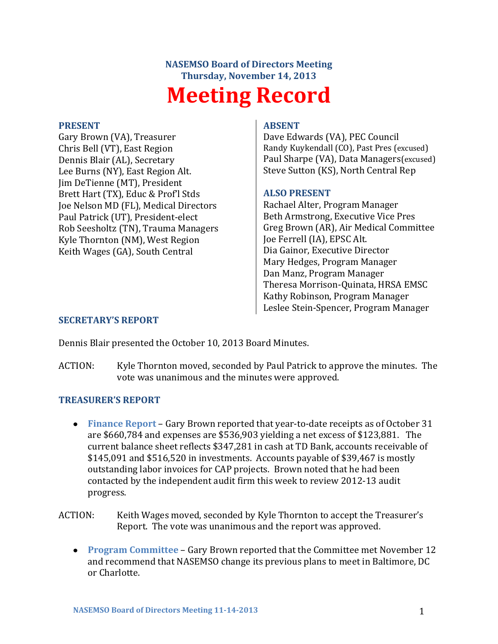# **NASEMSO Board of Directors Meeting Thursday, November 14, 2013 Meeting Record**

#### **PRESENT**

Gary Brown (VA), Treasurer Chris Bell (VT), East Region Dennis Blair (AL), Secretary Lee Burns (NY), East Region Alt. Jim DeTienne (MT), President Brett Hart (TX), Educ & Prof'l Stds Joe Nelson MD (FL), Medical Directors Paul Patrick (UT), President-elect Rob Seesholtz (TN), Trauma Managers Kyle Thornton (NM), West Region Keith Wages (GA), South Central

#### **ABSENT**

Dave Edwards (VA), PEC Council Randy Kuykendall (CO), Past Pres (excused) Paul Sharpe (VA), Data Managers(excused) Steve Sutton (KS), North Central Rep

### **ALSO PRESENT**

Rachael Alter, Program Manager Beth Armstrong, Executive Vice Pres Greg Brown (AR), Air Medical Committee Joe Ferrell (IA), EPSC Alt. Dia Gainor, Executive Director Mary Hedges, Program Manager Dan Manz, Program Manager Theresa Morrison-Quinata, HRSA EMSC Kathy Robinson, Program Manager Leslee Stein-Spencer, Program Manager

#### **SECRETARY'S REPORT**

Dennis Blair presented the October 10, 2013 Board Minutes.

ACTION: Kyle Thornton moved, seconded by Paul Patrick to approve the minutes. The vote was unanimous and the minutes were approved.

### **TREASURER'S REPORT**

**Finance Report** – Gary Brown reported that year-to-date receipts as of October 31 are \$660,784 and expenses are \$536,903 yielding a net excess of \$123,881. The current balance sheet reflects \$347,281 in cash at TD Bank, accounts receivable of \$145,091 and \$516,520 in investments. Accounts payable of \$39,467 is mostly outstanding labor invoices for CAP projects. Brown noted that he had been contacted by the independent audit firm this week to review 2012-13 audit progress.

ACTION: Keith Wages moved, seconded by Kyle Thornton to accept the Treasurer's Report. The vote was unanimous and the report was approved.

**Program Committee** – Gary Brown reported that the Committee met November 12 and recommend that NASEMSO change its previous plans to meet in Baltimore, DC or Charlotte.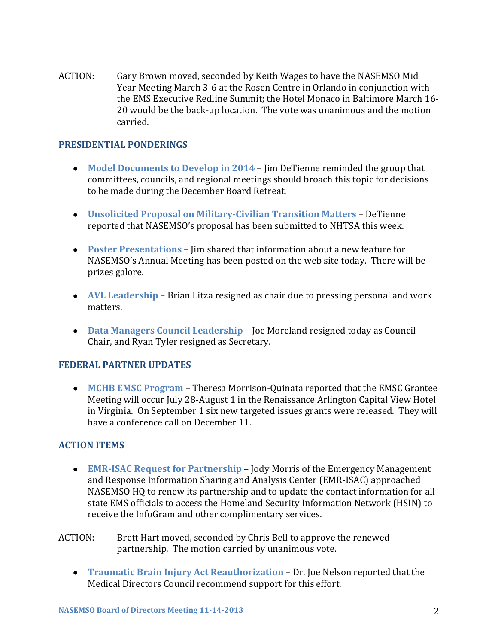ACTION: Gary Brown moved, seconded by Keith Wages to have the NASEMSO Mid Year Meeting March 3-6 at the Rosen Centre in Orlando in conjunction with the EMS Executive Redline Summit; the Hotel Monaco in Baltimore March 16- 20 would be the back-up location. The vote was unanimous and the motion carried.

## **PRESIDENTIAL PONDERINGS**

- **Model Documents to Develop in 2014** Jim DeTienne reminded the group that committees, councils, and regional meetings should broach this topic for decisions to be made during the December Board Retreat.
- **Unsolicited Proposal on Military-Civilian Transition Matters** DeTienne reported that NASEMSO's proposal has been submitted to NHTSA this week.
- **Poster Presentations**  Jim shared that information about a new feature for NASEMSO's Annual Meeting has been posted on the web site today. There will be prizes galore.
- **AVL Leadership**  Brian Litza resigned as chair due to pressing personal and work matters.
- **Data Managers Council Leadership**  Joe Moreland resigned today as Council Chair, and Ryan Tyler resigned as Secretary.

### **FEDERAL PARTNER UPDATES**

**MCHB EMSC Program** – Theresa Morrison-Quinata reported that the EMSC Grantee Meeting will occur July 28-August 1 in the Renaissance Arlington Capital View Hotel in Virginia. On September 1 six new targeted issues grants were released. They will have a conference call on December 11.

### **ACTION ITEMS**

- **EMR-ISAC Request for Partnership** Jody Morris of the Emergency Management and Response Information Sharing and Analysis Center (EMR-ISAC) approached NASEMSO HQ to renew its partnership and to update the contact information for all state EMS officials to access the Homeland Security Information Network (HSIN) to receive the InfoGram and other complimentary services.
- ACTION: Brett Hart moved, seconded by Chris Bell to approve the renewed partnership. The motion carried by unanimous vote.
	- **Traumatic Brain Injury Act Reauthorization** Dr. Joe Nelson reported that the Medical Directors Council recommend support for this effort.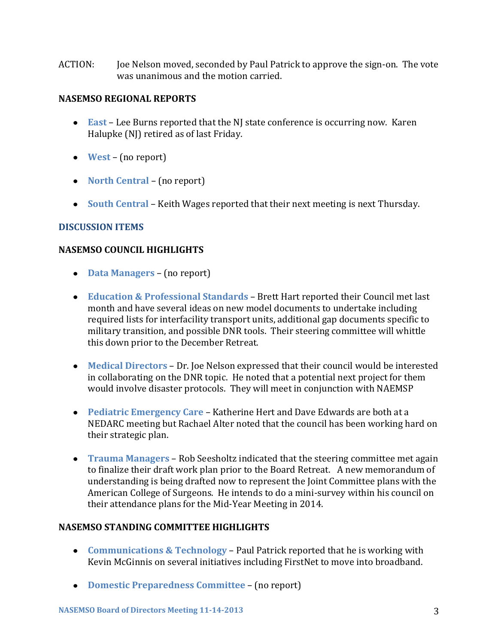ACTION: Joe Nelson moved, seconded by Paul Patrick to approve the sign-on. The vote was unanimous and the motion carried.

## **NASEMSO REGIONAL REPORTS**

- **East** Lee Burns reported that the NJ state conference is occurring now. Karen Halupke (NJ) retired as of last Friday.
- **West** (no report)
- **North Central** (no report)
- **South Central** Keith Wages reported that their next meeting is next Thursday.

# **DISCUSSION ITEMS**

# **NASEMSO COUNCIL HIGHLIGHTS**

- **Data Managers** (no report)
- **Education & Professional Standards** Brett Hart reported their Council met last month and have several ideas on new model documents to undertake including required lists for interfacility transport units, additional gap documents specific to military transition, and possible DNR tools. Their steering committee will whittle this down prior to the December Retreat.
- **Medical Directors** Dr. Joe Nelson expressed that their council would be interested in collaborating on the DNR topic. He noted that a potential next project for them would involve disaster protocols. They will meet in conjunction with NAEMSP
- **Pediatric Emergency Care** Katherine Hert and Dave Edwards are both at a NEDARC meeting but Rachael Alter noted that the council has been working hard on their strategic plan.
- **Trauma Managers**  Rob Seesholtz indicated that the steering committee met again to finalize their draft work plan prior to the Board Retreat. A new memorandum of understanding is being drafted now to represent the Joint Committee plans with the American College of Surgeons. He intends to do a mini-survey within his council on their attendance plans for the Mid-Year Meeting in 2014.

# **NASEMSO STANDING COMMITTEE HIGHLIGHTS**

- **Communications & Technology** Paul Patrick reported that he is working with Kevin McGinnis on several initiatives including FirstNet to move into broadband.
- **Domestic Preparedness Committee** (no report)